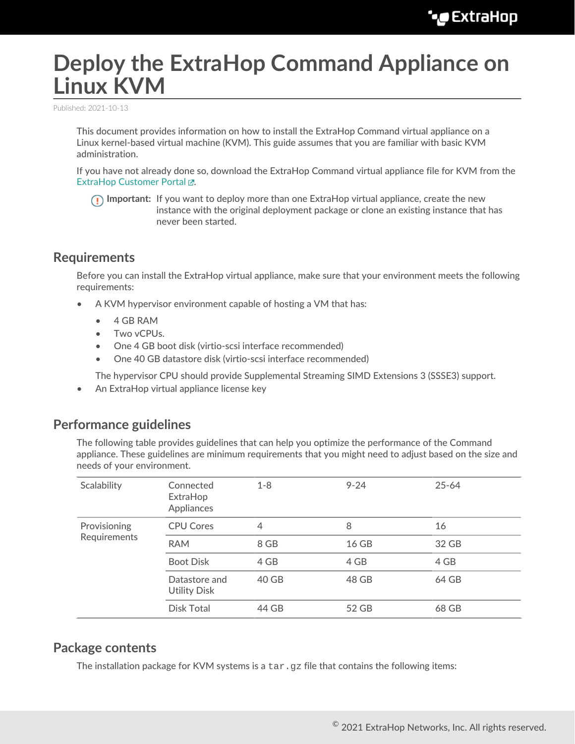# **Deploy the ExtraHop Command Appliance on Linux KVM**

Published: 2021-10-13

This document provides information on how to install the ExtraHop Command virtual appliance on a Linux kernel-based virtual machine (KVM). This guide assumes that you are familiar with basic KVM administration.

If you have not already done so, download the ExtraHop Command virtual appliance file for KVM from the ExtraHop Customer Portal E.

**Important:** If you want to deploy more than one ExtraHop virtual appliance, create the new instance with the original deployment package or clone an existing instance that has never been started.

## **Requirements**

Before you can install the ExtraHop virtual appliance, make sure that your environment meets the following requirements:

- A KVM hypervisor environment capable of hosting a VM that has:
	- 4 GB RAM
	- Two vCPUs.
	- One 4 GB boot disk (virtio-scsi interface recommended)
	- One 40 GB datastore disk (virtio-scsi interface recommended)

The hypervisor CPU should provide Supplemental Streaming SIMD Extensions 3 (SSSE3) support.

• An ExtraHop virtual appliance license key

## **Performance guidelines**

The following table provides guidelines that can help you optimize the performance of the Command appliance. These guidelines are minimum requirements that you might need to adjust based on the size and needs of your environment.

| Scalability                  | Connected<br>ExtraHop<br>Appliances  | $1 - 8$ | $9 - 24$ | $25 - 64$ |
|------------------------------|--------------------------------------|---------|----------|-----------|
| Provisioning<br>Requirements | <b>CPU Cores</b>                     | 4       | 8        | 16        |
|                              | <b>RAM</b>                           | 8 GB    | 16 GB    | 32 GB     |
|                              | <b>Boot Disk</b>                     | 4 GB    | 4 GB     | 4 GB      |
|                              | Datastore and<br><b>Utility Disk</b> | 40 GB   | 48 GB    | 64 GB     |
|                              | Disk Total                           | 44 GB   | 52 GB    | 68 GB     |
|                              |                                      |         |          |           |

## **Package contents**

The installation package for KVM systems is a  $\tan zg$  file that contains the following items: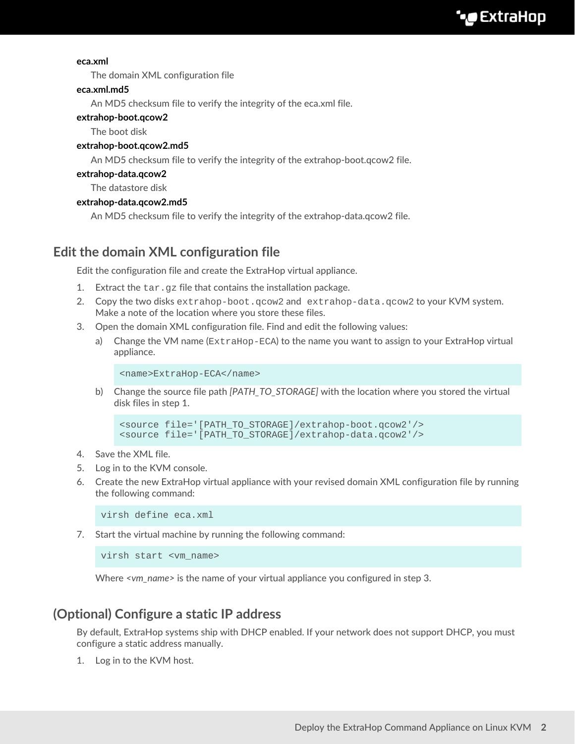#### **eca.xml**

The domain XML configuration file

#### **eca.xml.md5**

An MD5 checksum file to verify the integrity of the eca.xml file.

#### **extrahop-boot.qcow2**

The boot disk

#### **extrahop-boot.qcow2.md5**

An MD5 checksum file to verify the integrity of the extrahop-boot.qcow2 file.

#### **extrahop-data.qcow2**

The datastore disk

#### **extrahop-data.qcow2.md5**

An MD5 checksum file to verify the integrity of the extrahop-data.qcow2 file.

## **Edit the domain XML configuration file**

Edit the configuration file and create the ExtraHop virtual appliance.

- 1. Extract the  $\tan\, gz$  file that contains the installation package.
- 2. Copy the two disks extrahop-boot.qcow2 and extrahop-data.qcow2 to your KVM system. Make a note of the location where you store these files.
- 3. Open the domain XML configuration file. Find and edit the following values:
	- a) Change the VM name (ExtraHop-ECA) to the name you want to assign to your ExtraHop virtual appliance.

```
<name>ExtraHop-ECA</name>
```
b) Change the source file path *[PATH\_TO\_STORAGE]* with the location where you stored the virtual disk files in step 1.

```
<source file='[PATH_TO_STORAGE]/extrahop-boot.qcow2'/>
<source file='[PATH_TO_STORAGE]/extrahop-data.qcow2'/>
```
- 4. Save the XML file.
- 5. Log in to the KVM console.
- 6. Create the new ExtraHop virtual appliance with your revised domain XML configuration file by running the following command:

virsh define eca.xml

7. Start the virtual machine by running the following command:

virsh start <vm\_name>

Where *<vm\_name>* is the name of your virtual appliance you configured in step 3.

## **(Optional) Configure a static IP address**

By default, ExtraHop systems ship with DHCP enabled. If your network does not support DHCP, you must configure a static address manually.

1. Log in to the KVM host.